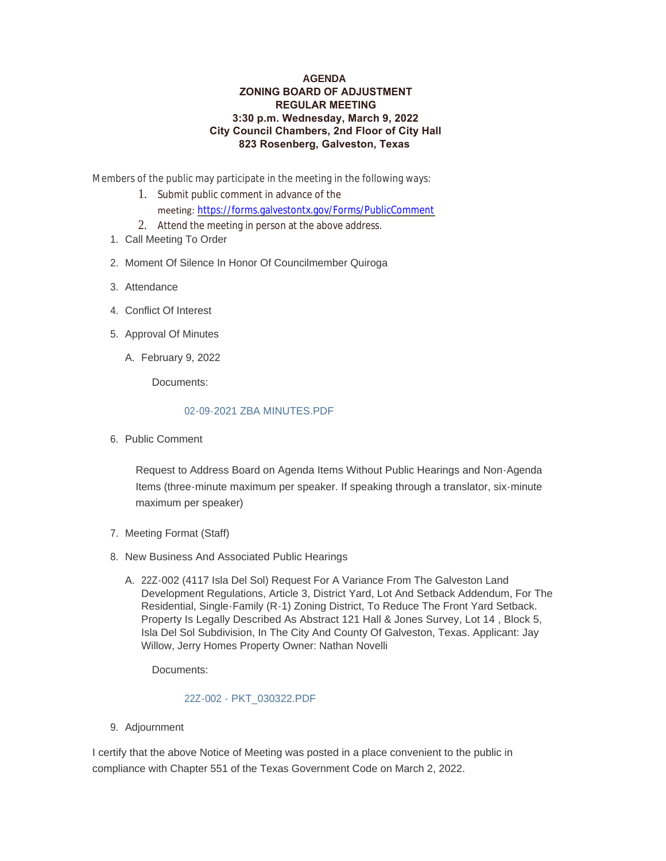## **AGENDA ZONING BOARD OF ADJUSTMENT REGULAR MEETING 3:30 p.m. Wednesday, March 9, 2022 City Council Chambers, 2nd Floor of City Hall 823 Rosenberg, Galveston, Texas**

Members of the public may participate in the meeting in the following ways:

- 1. Submit public comment in advance of the meeting: <https://forms.galvestontx.gov/Forms/PublicComment>
- 2. Attend the meeting in person at the above address.
- 1. Call Meeting To Order
- 2. Moment Of Silence In Honor Of Councilmember Quiroga
- Attendance 3.
- Conflict Of Interest 4.
- 5. Approval Of Minutes
	- February 9, 2022 A.

Documents:

## [02-09-2021 ZBA MINUTES.PDF](https://www.galvestontx.gov/AgendaCenter/ViewFile/Item/13843?fileID=32326)

6. Public Comment

Request to Address Board on Agenda Items Without Public Hearings and Non-Agenda Items (three-minute maximum per speaker. If speaking through a translator, six-minute maximum per speaker)

- 7. Meeting Format (Staff)
- 8. New Business And Associated Public Hearings
	- A. 22Z-002 (4117 Isla Del Sol) Request For A Variance From The Galveston Land Development Regulations, Article 3, District Yard, Lot And Setback Addendum, For The Residential, Single-Family (R-1) Zoning District, To Reduce The Front Yard Setback. Property Is Legally Described As Abstract 121 Hall & Jones Survey, Lot 14 , Block 5, Isla Del Sol Subdivision, In The City And County Of Galveston, Texas. Applicant: Jay Willow, Jerry Homes Property Owner: Nathan Novelli

Documents:

## [22Z-002 - PKT\\_030322.PDF](https://www.galvestontx.gov/AgendaCenter/ViewFile/Item/13844?fileID=32335)

9. Adjournment

I certify that the above Notice of Meeting was posted in a place convenient to the public in compliance with Chapter 551 of the Texas Government Code on March 2, 2022.